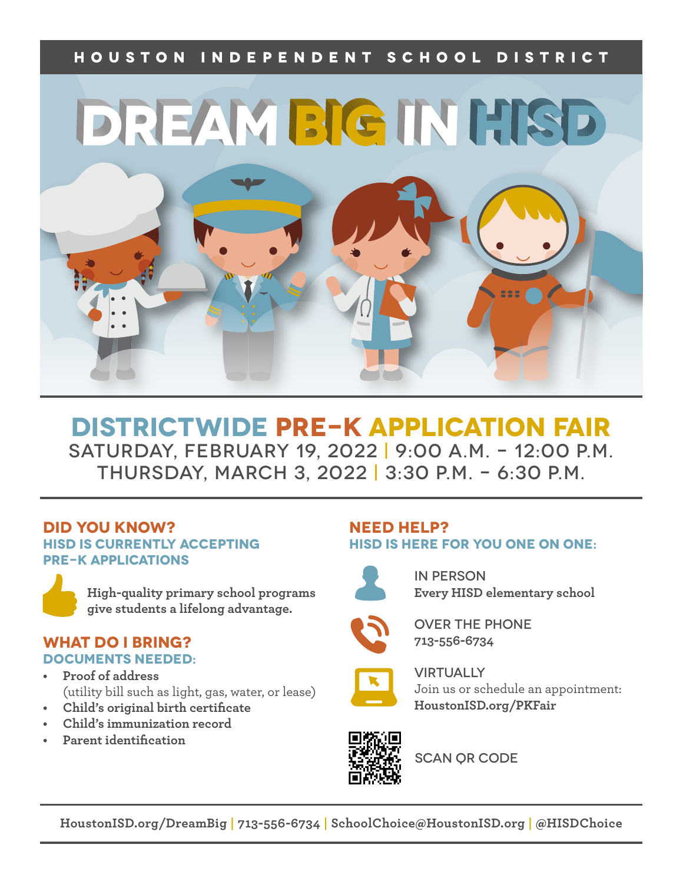### HOUSTON INDEPENDENT SCHOOL DISTRICT



# **Districtwide Pre-K APPLICATION FAIR** Saturday, February 19, 2022 | 9:00 a.m. – 12:00 p.m. THURSDAY, MARCH 3, 2022 | 3:30 P.M. – 6:30 P.M.

#### **Did you know? HISD is currently Accepting pre-K applications**

**High-quality primary school programs give students a lifelong advantage.**

#### **What Do I Bring? Documents Needed:**

- **• Proof of address** (utility bill such as light, gas, water, or lease)
- **• Child's original birth certificate**
- **• Child's immunization record**
- **• Parent identification**

#### **Need help? HISD is here for you one on one:**



In Person **Every HISD elementary school**



Over the Phone **713-556-6734**



**VIRTUALLY** Join us or schedule an appointment: **HoustonISD.org/PKFair** 



SCAN OR CODE

**HoustonISD.org/DreamBig | 713-556-6734 | SchoolChoice@HoustonISD.org | @HISDChoice**